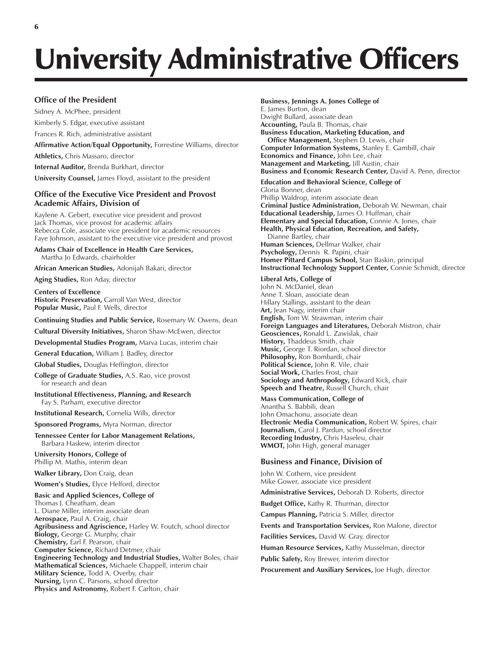# University Administrative Officers

## **Office of the President**

Sidney A. McPhee, president

Kimberly S. Edgar, executive assistant

Frances R. Rich, administrative assistant

**Affirmative Action/Equal Opportunity,** Forrestine Williams, director

**Athletics,** Chris Massaro, director

**Internal Auditor,** Brenda Burkhart, director

**University Counsel,** James Floyd, assistant to the president

## **Office of the Executive Vice President and Provost Academic Affairs, Division of**

Kaylene A. Gebert, executive vice president and provost Jack Thomas, vice provost for academic affairs Rebecca Cole, associate vice president for academic resources Faye Johnson, assistant to the executive vice president and provost

**Adams Chair of Excellence in Health Care Services,** Martha Jo Edwards, chairholder

**African American Studies,** Adonijah Bakari, director

**Aging Studies,** Ron Aday, director

**Centers of Excellence Historic Preservation,** Carroll Van West, director **Popular Music,** Paul F. Wells, director

**Continuing Studies and Public Service,** Rosemary W. Owens, dean

**Cultural Diversity Initiatives,** Sharon Shaw-McEwen, director

**Developmental Studies Program,** Marva Lucas, interim chair

**General Education,** William J. Badley, director

**Global Studies,** Douglas Heffington, director

**College of Graduate Studies,** A.S. Rao, vice provost for research and dean

**Institutional Effectiveness, Planning, and Research** Fay S. Parham, executive director

**Institutional Research,** Cornelia Wills, director

**Sponsored Programs,** Myra Norman, director

**Tennessee Center for Labor Management Relations,** Barbara Haskew, interim director

**University Honors, College of** Phillip M. Mathis, interim dean

**Walker Library,** Don Craig, dean

**Womenís Studies,** Elyce Helford, director

### **Basic and Applied Sciences, College of**

Thomas J. Cheatham, dean L. Diane Miller, interim associate dean **Aerospace,** Paul A. Craig, chair **Agribusiness and Agriscience,** Harley W. Foutch, school director **Biology,** George G. Murphy, chair **Chemistry,** Earl F. Pearson, chair **Computer Science,** Richard Detmer, chair **Engineering Technology and Industrial Studies,** Walter Boles, chair **Mathematical Sciences,** Michaele Chappell, interim chair **Military Science,** Todd A. Overby, chair **Nursing,** Lynn C. Parsons, school director **Physics and Astronomy,** Robert F. Carlton, chair

#### **Business, Jennings A. Jones College of**

E. James Burton, dean Dwight Bullard, associate dean **Accounting,** Paula B. Thomas, chair **Business Education, Marketing Education, and Office Management,** Stephen D. Lewis, chair **Computer Information Systems,** Stanley E. Gambill, chair **Economics and Finance,** John Lee, chair **Management and Marketing,** Jill Austin, chair **Business and Economic Research Center,** David A. Penn, director

#### **Education and Behavioral Science, College of**

Gloria Bonner, dean Phillip Waldrop, interim associate dean **Criminal Justice Administration,** Deborah W. Newman, chair **Educational Leadership,** James O. Huffman, chair **Elementary and Special Education,** Connie A. Jones, chair **Health, Physical Education, Recreation, and Safety,** Dianne Bartley, chair **Human Sciences,** Dellmar Walker, chair **Psychology,** Dennis R. Papini, chair **Homer Pittard Campus School,** Stan Baskin, principal **Instructional Technology Support Center,** Connie Schmidt, director

### **Liberal Arts, College of**

John N. McDaniel, dean Anne T. Sloan, associate dean Hillary Stallings, assistant to the dean Art, Jean Nagy, interim chair **English,** Tom W. Strawman, interim chair **Foreign Languages and Literatures,** Deborah Mistron, chair **Geosciences,** Ronald L. Zawislak, chair **History,** Thaddeus Smith, chair **Music,** George T. Riordan, school director **Philosophy,** Ron Bombardi, chair **Political Science,** John R. Vile, chair **Social Work,** Charles Frost, chair **Sociology and Anthropology,** Edward Kick, chair Speech and Theatre, Russell Church, chair

**Mass Communication, College of**

Anantha S. Babbili, dean John Omachonu, associate dean **Electronic Media Communication,** Robert W. Spires, chair **Journalism,** Carol J. Pardun, school director **Recording Industry,** Chris Haseleu, chair **WMOT,** John High, general manager

## **Business and Finance, Division of**

John W. Cothern, vice president Mike Gower, associate vice president

**Administrative Services,** Deborah D. Roberts, director

**Budget Office,** Kathy R. Thurman, director

**Campus Planning,** Patricia S. Miller, director

**Events and Transportation Services,** Ron Malone, director

**Facilities Services,** David W. Gray, director

**Human Resource Services,** Kathy Musselman, director

**Public Safety,** Roy Brewer, interim director

**Procurement and Auxiliary Services,** Joe Hugh, director